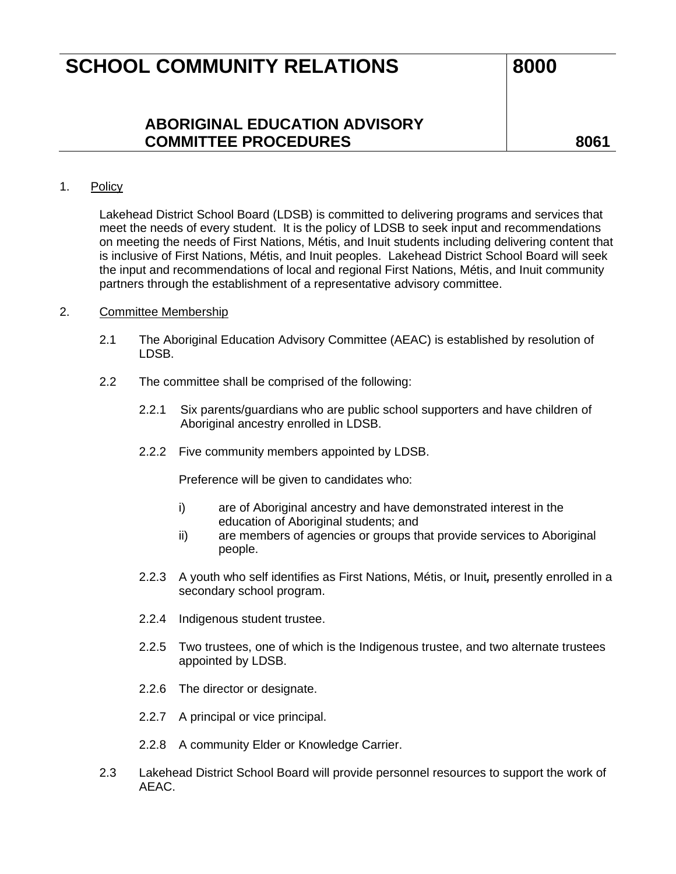## **SCHOOL COMMUNITY RELATIONS** 8000

**ABORIGINAL EDUCATION ADVISORY COMMITTEE PROCEDURES 8061**

### 1. Policy

Lakehead District School Board (LDSB) is committed to delivering programs and services that meet the needs of every student. It is the policy of LDSB to seek input and recommendations on meeting the needs of First Nations, Métis, and Inuit students including delivering content that is inclusive of First Nations, Métis, and Inuit peoples. Lakehead District School Board will seek the input and recommendations of local and regional First Nations, Métis, and Inuit community partners through the establishment of a representative advisory committee.

#### 2. Committee Membership

- 2.1 The Aboriginal Education Advisory Committee (AEAC) is established by resolution of LDSB.
- 2.2 The committee shall be comprised of the following:
	- 2.2.1 Six parents/guardians who are public school supporters and have children of Aboriginal ancestry enrolled in LDSB.
	- 2.2.2 Five community members appointed by LDSB.

Preference will be given to candidates who:

- i) are of Aboriginal ancestry and have demonstrated interest in the education of Aboriginal students; and
- ii) are members of agencies or groups that provide services to Aboriginal people.
- 2.2.3 A youth who self identifies as First Nations, Métis, or Inuit*,* presently enrolled in a secondary school program.
- 2.2.4 Indigenous student trustee.
- 2.2.5 Two trustees, one of which is the Indigenous trustee, and two alternate trustees appointed by LDSB.
- 2.2.6 The director or designate.
- 2.2.7 A principal or vice principal.
- 2.2.8 A community Elder or Knowledge Carrier.
- 2.3 Lakehead District School Board will provide personnel resources to support the work of AEAC.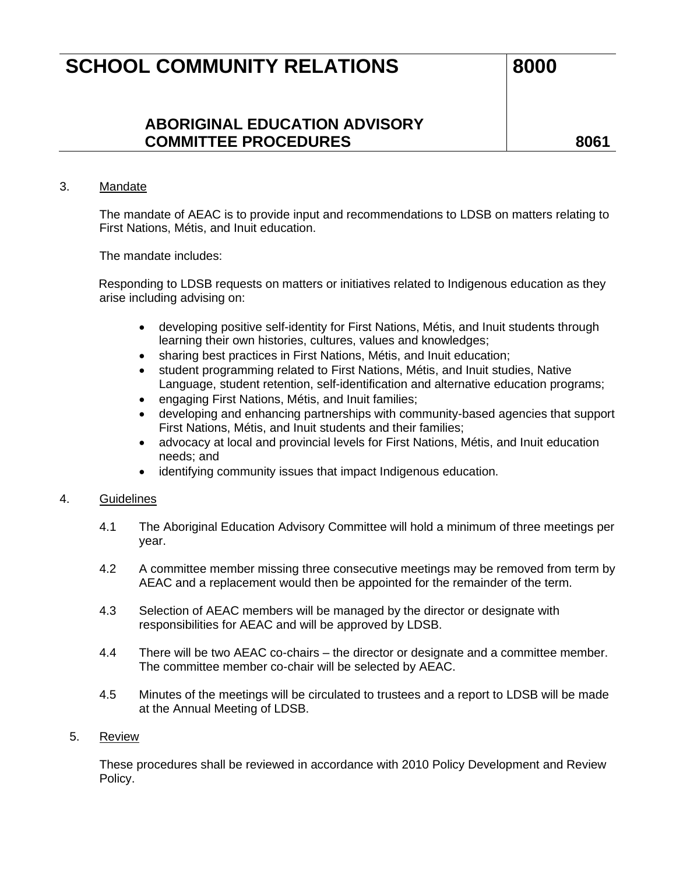## **SCHOOL COMMUNITY RELATIONS** 8000

## **ABORIGINAL EDUCATION ADVISORY COMMITTEE PROCEDURES 8061**

## 3. Mandate

The mandate of AEAC is to provide input and recommendations to LDSB on matters relating to First Nations, Métis, and Inuit education.

The mandate includes:

Responding to LDSB requests on matters or initiatives related to Indigenous education as they arise including advising on:

- developing positive self-identity for First Nations, Métis, and Inuit students through learning their own histories, cultures, values and knowledges;
- sharing best practices in First Nations, Métis, and Inuit education;
- student programming related to First Nations, Métis, and Inuit studies, Native Language, student retention, self-identification and alternative education programs;
- engaging First Nations, Métis, and Inuit families;
- developing and enhancing partnerships with community-based agencies that support First Nations, Métis, and Inuit students and their families;
- advocacy at local and provincial levels for First Nations, Métis, and Inuit education needs; and
- identifying community issues that impact Indigenous education.

## 4. Guidelines

- 4.1 The Aboriginal Education Advisory Committee will hold a minimum of three meetings per year.
- 4.2 A committee member missing three consecutive meetings may be removed from term by AEAC and a replacement would then be appointed for the remainder of the term.
- 4.3 Selection of AEAC members will be managed by the director or designate with responsibilities for AEAC and will be approved by LDSB.
- 4.4 There will be two AEAC co-chairs the director or designate and a committee member. The committee member co-chair will be selected by AEAC.
- 4.5 Minutes of the meetings will be circulated to trustees and a report to LDSB will be made at the Annual Meeting of LDSB.

### 5. Review

These procedures shall be reviewed in accordance with 2010 Policy Development and Review Policy.